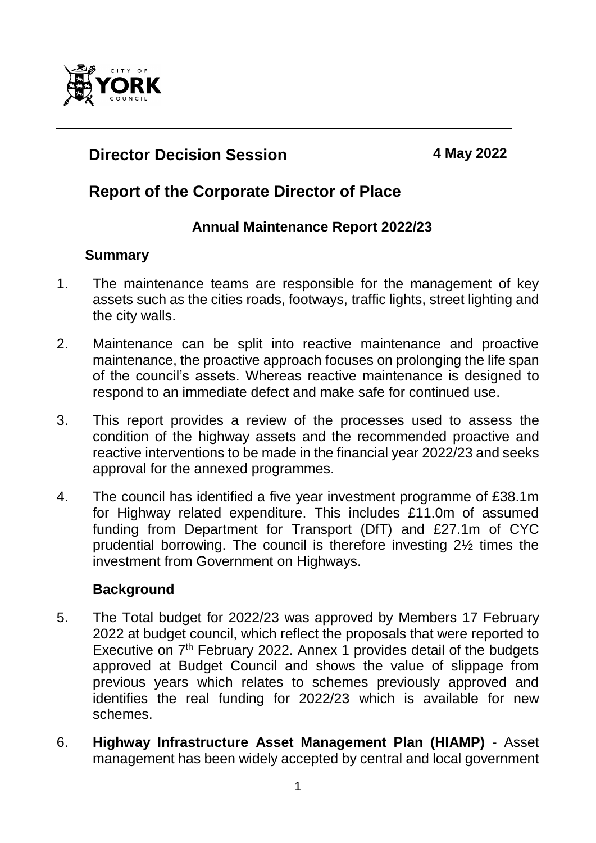

# **Director Decision Session 4 May 2022**

# **Report of the Corporate Director of Place**

#### **Annual Maintenance Report 2022/23**

#### **Summary**

- 1. The maintenance teams are responsible for the management of key assets such as the cities roads, footways, traffic lights, street lighting and the city walls.
- 2. Maintenance can be split into reactive maintenance and proactive maintenance, the proactive approach focuses on prolonging the life span of the council's assets. Whereas reactive maintenance is designed to respond to an immediate defect and make safe for continued use.
- 3. This report provides a review of the processes used to assess the condition of the highway assets and the recommended proactive and reactive interventions to be made in the financial year 2022/23 and seeks approval for the annexed programmes.
- 4. The council has identified a five year investment programme of £38.1m for Highway related expenditure. This includes £11.0m of assumed funding from Department for Transport (DfT) and £27.1m of CYC prudential borrowing. The council is therefore investing 2½ times the investment from Government on Highways.

### **Background**

- 5. The Total budget for 2022/23 was approved by Members 17 February 2022 at budget council, which reflect the proposals that were reported to Executive on 7<sup>th</sup> February 2022. Annex 1 provides detail of the budgets approved at Budget Council and shows the value of slippage from previous years which relates to schemes previously approved and identifies the real funding for 2022/23 which is available for new schemes.
- 6. **Highway Infrastructure Asset Management Plan (HIAMP)** Asset management has been widely accepted by central and local government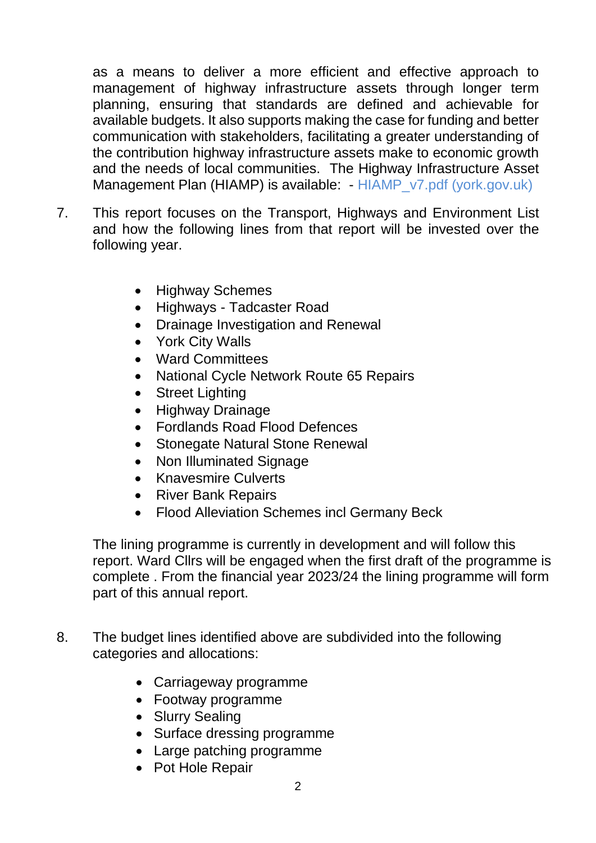as a means to deliver a more efficient and effective approach to management of highway infrastructure assets through longer term planning, ensuring that standards are defined and achievable for available budgets. It also supports making the case for funding and better communication with stakeholders, facilitating a greater understanding of the contribution highway infrastructure assets make to economic growth and the needs of local communities. The Highway Infrastructure Asset Management Plan (HIAMP) is available: - [HIAMP\\_v7.pdf \(york.gov.uk\)](https://democracy.york.gov.uk/documents/s152734/Annex%20A%20-%20HIAMP_v7.pdf)

- 7. This report focuses on the Transport, Highways and Environment List and how the following lines from that report will be invested over the following year.
	- Highway Schemes
	- Highways Tadcaster Road
	- Drainage Investigation and Renewal
	- York City Walls
	- Ward Committees
	- National Cycle Network Route 65 Repairs
	- Street Lighting
	- Highway Drainage
	- Fordlands Road Flood Defences
	- Stonegate Natural Stone Renewal
	- Non Illuminated Signage
	- Knavesmire Culverts
	- River Bank Repairs
	- Flood Alleviation Schemes incl Germany Beck

The lining programme is currently in development and will follow this report. Ward Cllrs will be engaged when the first draft of the programme is complete . From the financial year 2023/24 the lining programme will form part of this annual report.

- 8. The budget lines identified above are subdivided into the following categories and allocations:
	- Carriageway programme
	- Footway programme
	- Slurry Sealing
	- Surface dressing programme
	- Large patching programme
	- Pot Hole Repair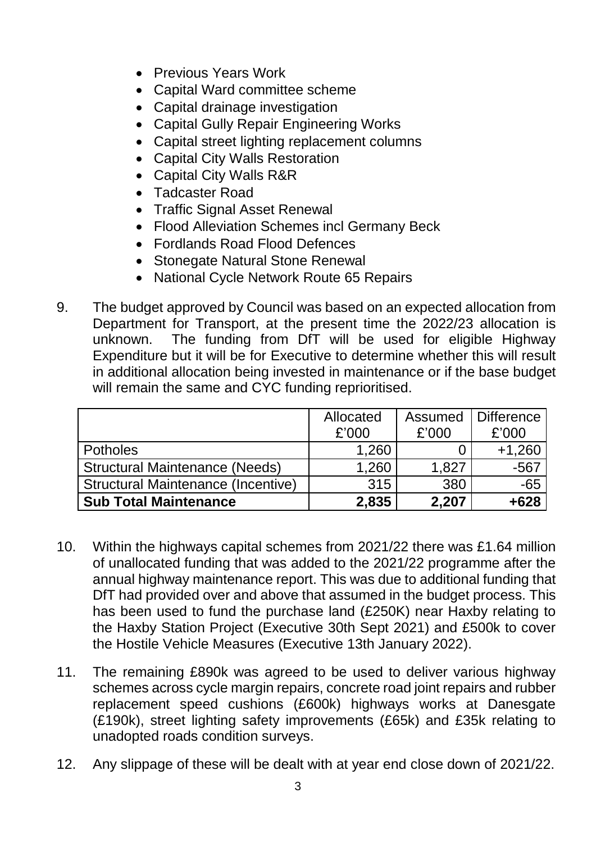- Previous Years Work
- Capital Ward committee scheme
- Capital drainage investigation
- Capital Gully Repair Engineering Works
- Capital street lighting replacement columns
- Capital City Walls Restoration
- Capital City Walls R&R
- Tadcaster Road
- Traffic Signal Asset Renewal
- Flood Alleviation Schemes incl Germany Beck
- Fordlands Road Flood Defences
- Stonegate Natural Stone Renewal
- National Cycle Network Route 65 Repairs
- 9. The budget approved by Council was based on an expected allocation from Department for Transport, at the present time the 2022/23 allocation is unknown. The funding from DfT will be used for eligible Highway Expenditure but it will be for Executive to determine whether this will result in additional allocation being invested in maintenance or if the base budget will remain the same and CYC funding reprioritised.

|                                           | Allocated | Assumed | J Difference |
|-------------------------------------------|-----------|---------|--------------|
|                                           | £'000     | £'000   | £'000        |
| <b>Potholes</b>                           | 1,260     |         | $+1,260$     |
| <b>Structural Maintenance (Needs)</b>     | 1,260     | 1,827   | $-567$       |
| <b>Structural Maintenance (Incentive)</b> | 315       | 380     | $-65$        |
| <b>Sub Total Maintenance</b>              | 2,835     | 2,207   | +628         |

- 10. Within the highways capital schemes from 2021/22 there was £1.64 million of unallocated funding that was added to the 2021/22 programme after the annual highway maintenance report. This was due to additional funding that DfT had provided over and above that assumed in the budget process. This has been used to fund the purchase land (£250K) near Haxby relating to the Haxby Station Project (Executive 30th Sept 2021) and £500k to cover the Hostile Vehicle Measures (Executive 13th January 2022).
- 11. The remaining £890k was agreed to be used to deliver various highway schemes across cycle margin repairs, concrete road joint repairs and rubber replacement speed cushions (£600k) highways works at Danesgate (£190k), street lighting safety improvements (£65k) and £35k relating to unadopted roads condition surveys.
- 12. Any slippage of these will be dealt with at year end close down of 2021/22.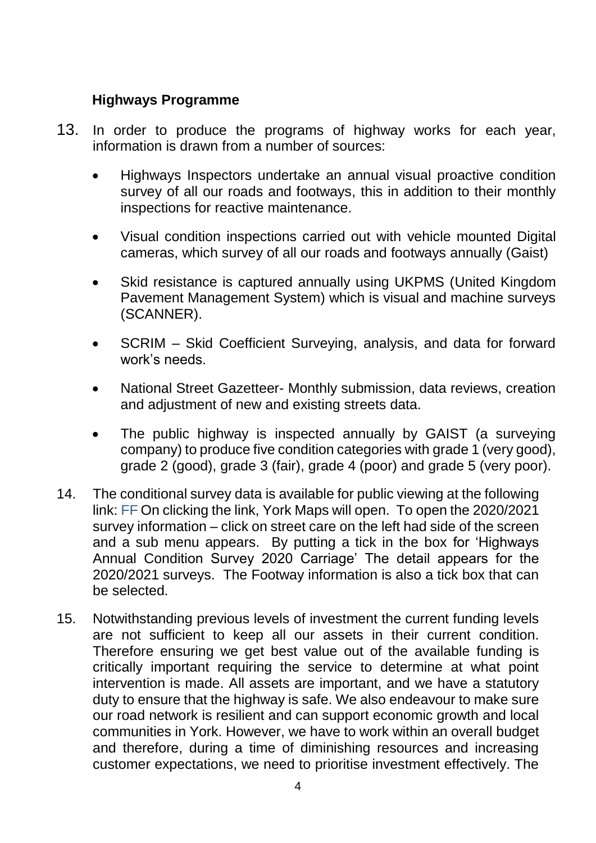## **Highways Programme**

- 13. In order to produce the programs of highway works for each year, information is drawn from a number of sources:
	- Highways Inspectors undertake an annual visual proactive condition survey of all our roads and footways, this in addition to their monthly inspections for reactive maintenance.
	- Visual condition inspections carried out with vehicle mounted Digital cameras, which survey of all our roads and footways annually (Gaist)
	- Skid resistance is captured annually using UKPMS (United Kingdom Pavement Management System) which is visual and machine surveys (SCANNER).
	- SCRIM Skid Coefficient Surveying, analysis, and data for forward work's needs.
	- National Street Gazetteer- Monthly submission, data reviews, creation and adjustment of new and existing streets data.
	- The public highway is inspected annually by GAIST (a surveying company) to produce five condition categories with grade 1 (very good), grade 2 (good), grade 3 (fair), grade 4 (poor) and grade 5 (very poor).
- 14. The conditional survey data is available for public viewing at the following link: [FF](https://cyc.maps.arcgis.com/apps/webappviewer/index.html?id=6e02c41a806e46879e7dc215f1275afb) On clicking the link, York Maps will open. To open the 2020/2021 survey information – click on street care on the left had side of the screen and a sub menu appears. By putting a tick in the box for 'Highways Annual Condition Survey 2020 Carriage' The detail appears for the 2020/2021 surveys. The Footway information is also a tick box that can be selected.
- 15. Notwithstanding previous levels of investment the current funding levels are not sufficient to keep all our assets in their current condition. Therefore ensuring we get best value out of the available funding is critically important requiring the service to determine at what point intervention is made. All assets are important, and we have a statutory duty to ensure that the highway is safe. We also endeavour to make sure our road network is resilient and can support economic growth and local communities in York. However, we have to work within an overall budget and therefore, during a time of diminishing resources and increasing customer expectations, we need to prioritise investment effectively. The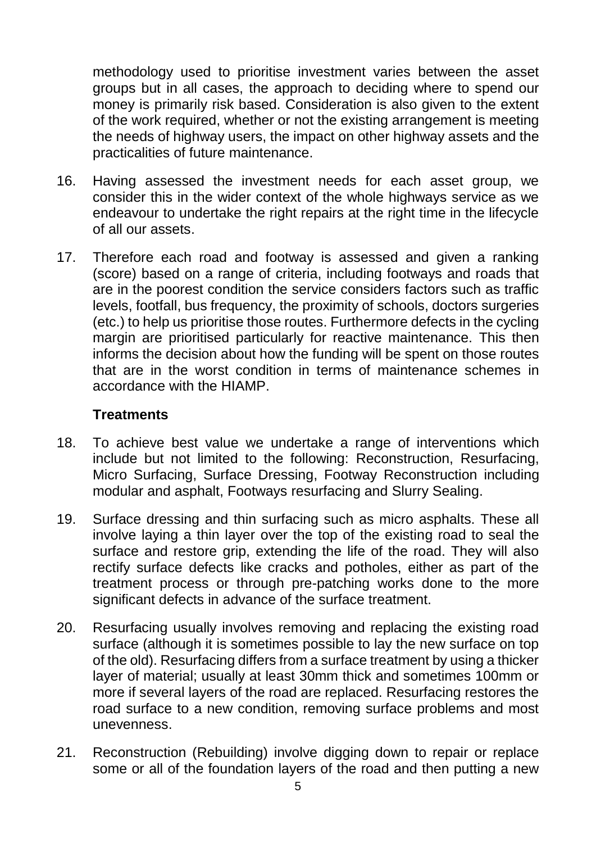methodology used to prioritise investment varies between the asset groups but in all cases, the approach to deciding where to spend our money is primarily risk based. Consideration is also given to the extent of the work required, whether or not the existing arrangement is meeting the needs of highway users, the impact on other highway assets and the practicalities of future maintenance.

- 16. Having assessed the investment needs for each asset group, we consider this in the wider context of the whole highways service as we endeavour to undertake the right repairs at the right time in the lifecycle of all our assets.
- 17. Therefore each road and footway is assessed and given a ranking (score) based on a range of criteria, including footways and roads that are in the poorest condition the service considers factors such as traffic levels, footfall, bus frequency, the proximity of schools, doctors surgeries (etc.) to help us prioritise those routes. Furthermore defects in the cycling margin are prioritised particularly for reactive maintenance. This then informs the decision about how the funding will be spent on those routes that are in the worst condition in terms of maintenance schemes in accordance with the HIAMP.

#### **Treatments**

- 18. To achieve best value we undertake a range of interventions which include but not limited to the following: Reconstruction, Resurfacing, Micro Surfacing, Surface Dressing, Footway Reconstruction including modular and asphalt, Footways resurfacing and Slurry Sealing.
- 19. Surface dressing and thin surfacing such as micro asphalts. These all involve laying a thin layer over the top of the existing road to seal the surface and restore grip, extending the life of the road. They will also rectify surface defects like cracks and potholes, either as part of the treatment process or through pre-patching works done to the more significant defects in advance of the surface treatment.
- 20. Resurfacing usually involves removing and replacing the existing road surface (although it is sometimes possible to lay the new surface on top of the old). Resurfacing differs from a surface treatment by using a thicker layer of material; usually at least 30mm thick and sometimes 100mm or more if several layers of the road are replaced. Resurfacing restores the road surface to a new condition, removing surface problems and most unevenness.
- 21. Reconstruction (Rebuilding) involve digging down to repair or replace some or all of the foundation layers of the road and then putting a new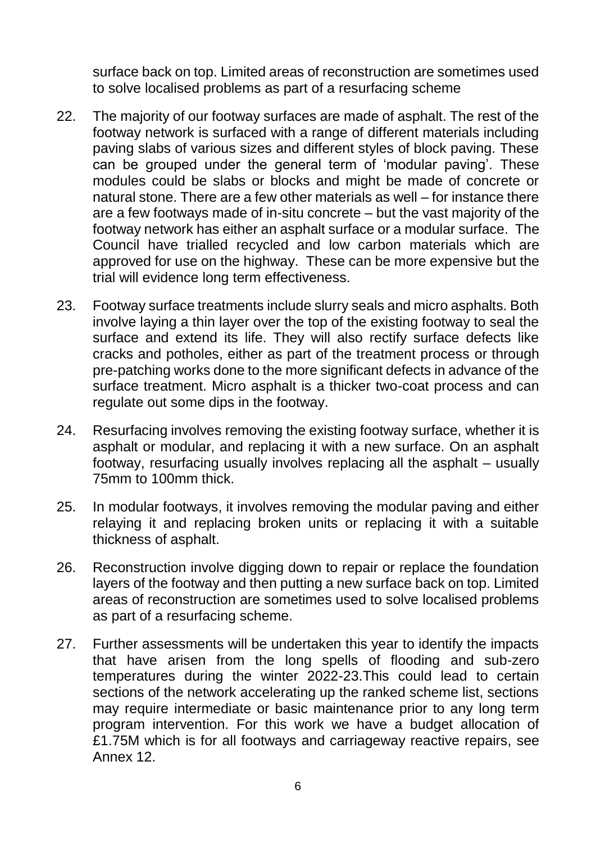surface back on top. Limited areas of reconstruction are sometimes used to solve localised problems as part of a resurfacing scheme

- 22. The majority of our footway surfaces are made of asphalt. The rest of the footway network is surfaced with a range of different materials including paving slabs of various sizes and different styles of block paving. These can be grouped under the general term of 'modular paving'. These modules could be slabs or blocks and might be made of concrete or natural stone. There are a few other materials as well – for instance there are a few footways made of in-situ concrete – but the vast majority of the footway network has either an asphalt surface or a modular surface. The Council have trialled recycled and low carbon materials which are approved for use on the highway. These can be more expensive but the trial will evidence long term effectiveness.
- 23. Footway surface treatments include slurry seals and micro asphalts. Both involve laying a thin layer over the top of the existing footway to seal the surface and extend its life. They will also rectify surface defects like cracks and potholes, either as part of the treatment process or through pre-patching works done to the more significant defects in advance of the surface treatment. Micro asphalt is a thicker two-coat process and can regulate out some dips in the footway.
- 24. Resurfacing involves removing the existing footway surface, whether it is asphalt or modular, and replacing it with a new surface. On an asphalt footway, resurfacing usually involves replacing all the asphalt – usually 75mm to 100mm thick.
- 25. In modular footways, it involves removing the modular paving and either relaying it and replacing broken units or replacing it with a suitable thickness of asphalt.
- 26. Reconstruction involve digging down to repair or replace the foundation layers of the footway and then putting a new surface back on top. Limited areas of reconstruction are sometimes used to solve localised problems as part of a resurfacing scheme.
- 27. Further assessments will be undertaken this year to identify the impacts that have arisen from the long spells of flooding and sub-zero temperatures during the winter 2022-23.This could lead to certain sections of the network accelerating up the ranked scheme list, sections may require intermediate or basic maintenance prior to any long term program intervention. For this work we have a budget allocation of £1.75M which is for all footways and carriageway reactive repairs, see Annex 12.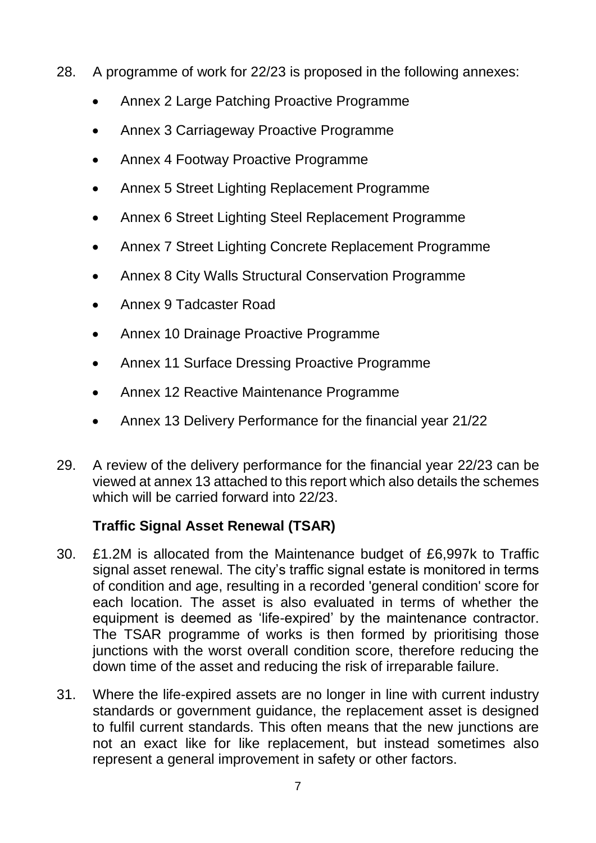- 28. A programme of work for 22/23 is proposed in the following annexes:
	- Annex 2 Large Patching Proactive Programme
	- Annex 3 Carriageway Proactive Programme
	- Annex 4 Footway Proactive Programme
	- Annex 5 Street Lighting Replacement Programme
	- Annex 6 Street Lighting Steel Replacement Programme
	- Annex 7 Street Lighting Concrete Replacement Programme
	- Annex 8 City Walls Structural Conservation Programme
	- Annex 9 Tadcaster Road
	- Annex 10 Drainage Proactive Programme
	- Annex 11 Surface Dressing Proactive Programme
	- Annex 12 Reactive Maintenance Programme
	- Annex 13 Delivery Performance for the financial year 21/22
- 29. A review of the delivery performance for the financial year 22/23 can be viewed at annex 13 attached to this report which also details the schemes which will be carried forward into 22/23.

# **Traffic Signal Asset Renewal (TSAR)**

- 30. £1.2M is allocated from the Maintenance budget of £6,997k to Traffic signal asset renewal. The city's traffic signal estate is monitored in terms of condition and age, resulting in a recorded 'general condition' score for each location. The asset is also evaluated in terms of whether the equipment is deemed as 'life-expired' by the maintenance contractor. The TSAR programme of works is then formed by prioritising those junctions with the worst overall condition score, therefore reducing the down time of the asset and reducing the risk of irreparable failure.
- 31. Where the life-expired assets are no longer in line with current industry standards or government guidance, the replacement asset is designed to fulfil current standards. This often means that the new junctions are not an exact like for like replacement, but instead sometimes also represent a general improvement in safety or other factors.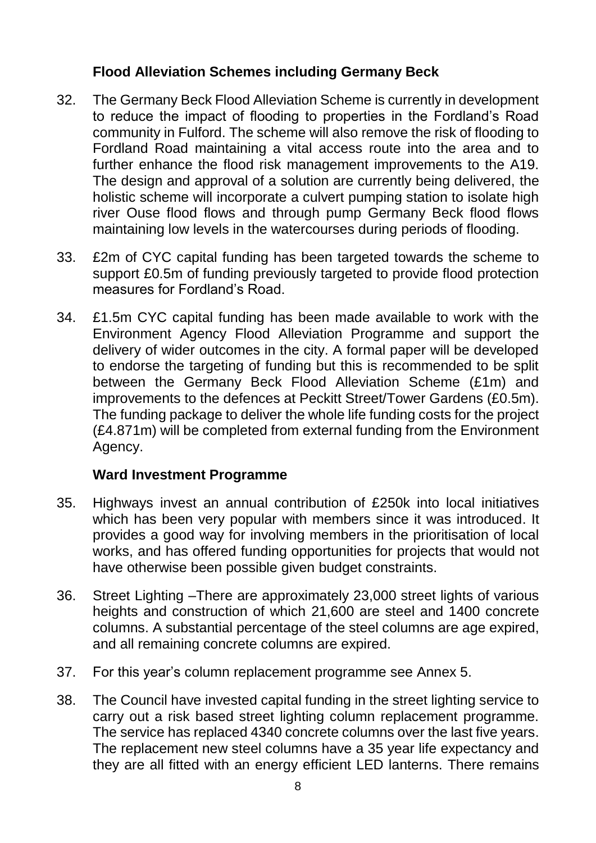#### **Flood Alleviation Schemes including Germany Beck**

- 32. The Germany Beck Flood Alleviation Scheme is currently in development to reduce the impact of flooding to properties in the Fordland's Road community in Fulford. The scheme will also remove the risk of flooding to Fordland Road maintaining a vital access route into the area and to further enhance the flood risk management improvements to the A19. The design and approval of a solution are currently being delivered, the holistic scheme will incorporate a culvert pumping station to isolate high river Ouse flood flows and through pump Germany Beck flood flows maintaining low levels in the watercourses during periods of flooding.
- 33. £2m of CYC capital funding has been targeted towards the scheme to support £0.5m of funding previously targeted to provide flood protection measures for Fordland's Road.
- 34. £1.5m CYC capital funding has been made available to work with the Environment Agency Flood Alleviation Programme and support the delivery of wider outcomes in the city. A formal paper will be developed to endorse the targeting of funding but this is recommended to be split between the Germany Beck Flood Alleviation Scheme (£1m) and improvements to the defences at Peckitt Street/Tower Gardens (£0.5m). The funding package to deliver the whole life funding costs for the project (£4.871m) will be completed from external funding from the Environment Agency.

#### **Ward Investment Programme**

- 35. Highways invest an annual contribution of £250k into local initiatives which has been very popular with members since it was introduced. It provides a good way for involving members in the prioritisation of local works, and has offered funding opportunities for projects that would not have otherwise been possible given budget constraints.
- 36. Street Lighting –There are approximately 23,000 street lights of various heights and construction of which 21,600 are steel and 1400 concrete columns. A substantial percentage of the steel columns are age expired, and all remaining concrete columns are expired.
- 37. For this year's column replacement programme see Annex 5.
- 38. The Council have invested capital funding in the street lighting service to carry out a risk based street lighting column replacement programme. The service has replaced 4340 concrete columns over the last five years. The replacement new steel columns have a 35 year life expectancy and they are all fitted with an energy efficient LED lanterns. There remains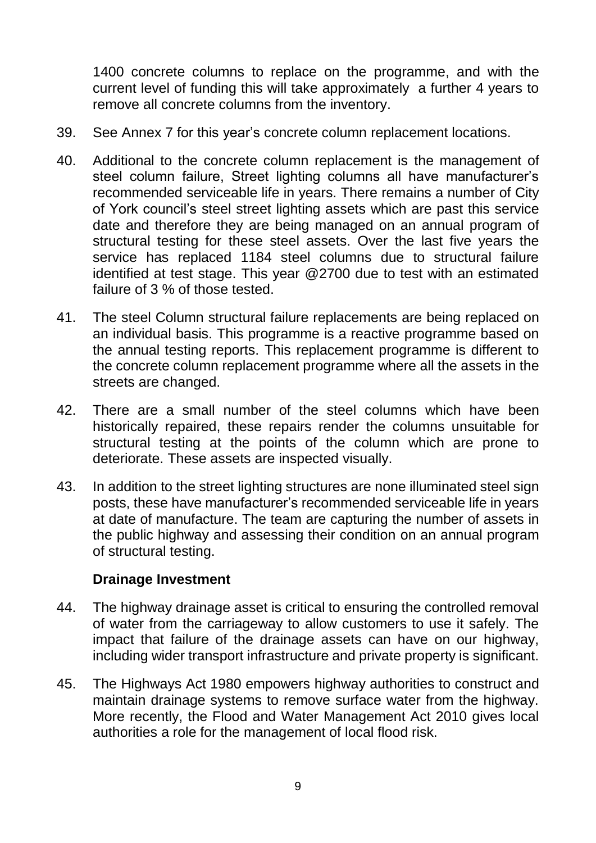1400 concrete columns to replace on the programme, and with the current level of funding this will take approximately a further 4 years to remove all concrete columns from the inventory.

- 39. See Annex 7 for this year's concrete column replacement locations.
- 40. Additional to the concrete column replacement is the management of steel column failure, Street lighting columns all have manufacturer's recommended serviceable life in years. There remains a number of City of York council's steel street lighting assets which are past this service date and therefore they are being managed on an annual program of structural testing for these steel assets. Over the last five years the service has replaced 1184 steel columns due to structural failure identified at test stage. This year @2700 due to test with an estimated failure of 3 % of those tested.
- 41. The steel Column structural failure replacements are being replaced on an individual basis. This programme is a reactive programme based on the annual testing reports. This replacement programme is different to the concrete column replacement programme where all the assets in the streets are changed.
- 42. There are a small number of the steel columns which have been historically repaired, these repairs render the columns unsuitable for structural testing at the points of the column which are prone to deteriorate. These assets are inspected visually.
- 43. In addition to the street lighting structures are none illuminated steel sign posts, these have manufacturer's recommended serviceable life in years at date of manufacture. The team are capturing the number of assets in the public highway and assessing their condition on an annual program of structural testing.

#### **Drainage Investment**

- 44. The highway drainage asset is critical to ensuring the controlled removal of water from the carriageway to allow customers to use it safely. The impact that failure of the drainage assets can have on our highway, including wider transport infrastructure and private property is significant.
- 45. The Highways Act 1980 empowers highway authorities to construct and maintain drainage systems to remove surface water from the highway. More recently, the Flood and Water Management Act 2010 gives local authorities a role for the management of local flood risk.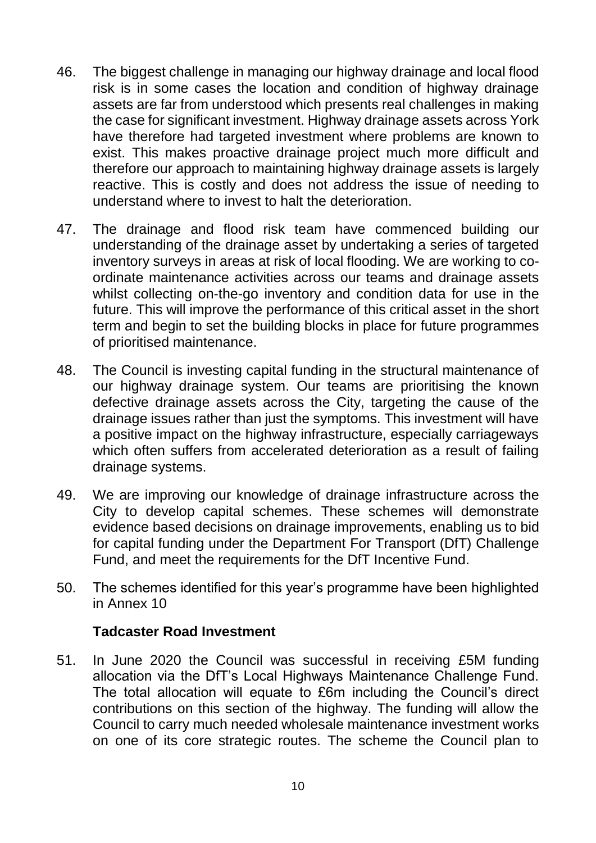- 46. The biggest challenge in managing our highway drainage and local flood risk is in some cases the location and condition of highway drainage assets are far from understood which presents real challenges in making the case for significant investment. Highway drainage assets across York have therefore had targeted investment where problems are known to exist. This makes proactive drainage project much more difficult and therefore our approach to maintaining highway drainage assets is largely reactive. This is costly and does not address the issue of needing to understand where to invest to halt the deterioration.
- 47. The drainage and flood risk team have commenced building our understanding of the drainage asset by undertaking a series of targeted inventory surveys in areas at risk of local flooding. We are working to coordinate maintenance activities across our teams and drainage assets whilst collecting on-the-go inventory and condition data for use in the future. This will improve the performance of this critical asset in the short term and begin to set the building blocks in place for future programmes of prioritised maintenance.
- 48. The Council is investing capital funding in the structural maintenance of our highway drainage system. Our teams are prioritising the known defective drainage assets across the City, targeting the cause of the drainage issues rather than just the symptoms. This investment will have a positive impact on the highway infrastructure, especially carriageways which often suffers from accelerated deterioration as a result of failing drainage systems.
- 49. We are improving our knowledge of drainage infrastructure across the City to develop capital schemes. These schemes will demonstrate evidence based decisions on drainage improvements, enabling us to bid for capital funding under the Department For Transport (DfT) Challenge Fund, and meet the requirements for the DfT Incentive Fund.
- 50. The schemes identified for this year's programme have been highlighted in Annex 10

#### **Tadcaster Road Investment**

51. In June 2020 the Council was successful in receiving £5M funding allocation via the DfT's Local Highways Maintenance Challenge Fund. The total allocation will equate to £6m including the Council's direct contributions on this section of the highway. The funding will allow the Council to carry much needed wholesale maintenance investment works on one of its core strategic routes. The scheme the Council plan to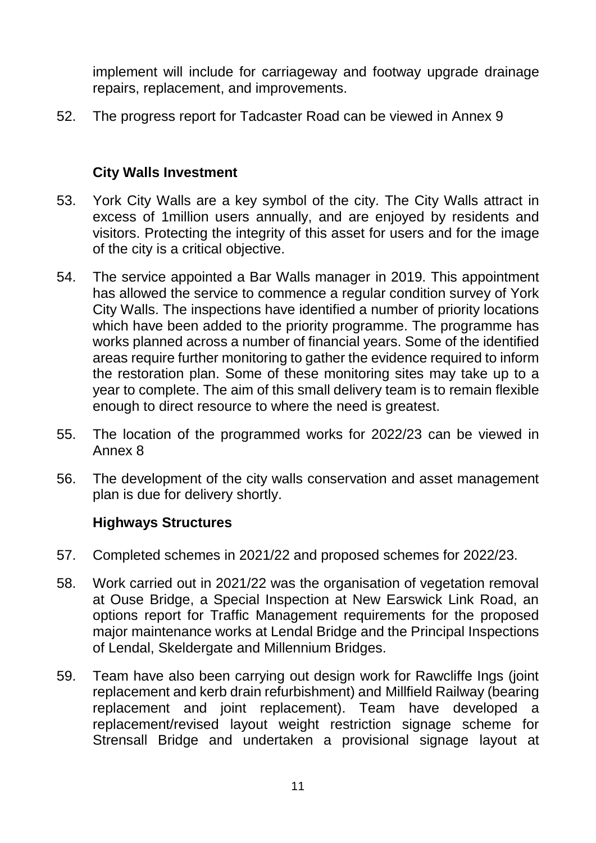implement will include for carriageway and footway upgrade drainage repairs, replacement, and improvements.

52. The progress report for Tadcaster Road can be viewed in Annex 9

## **City Walls Investment**

- 53. York City Walls are a key symbol of the city. The City Walls attract in excess of 1million users annually, and are enjoyed by residents and visitors. Protecting the integrity of this asset for users and for the image of the city is a critical objective.
- 54. The service appointed a Bar Walls manager in 2019. This appointment has allowed the service to commence a regular condition survey of York City Walls. The inspections have identified a number of priority locations which have been added to the priority programme. The programme has works planned across a number of financial years. Some of the identified areas require further monitoring to gather the evidence required to inform the restoration plan. Some of these monitoring sites may take up to a year to complete. The aim of this small delivery team is to remain flexible enough to direct resource to where the need is greatest.
- 55. The location of the programmed works for 2022/23 can be viewed in Annex 8
- 56. The development of the city walls conservation and asset management plan is due for delivery shortly.

### **Highways Structures**

- 57. Completed schemes in 2021/22 and proposed schemes for 2022/23.
- 58. Work carried out in 2021/22 was the organisation of vegetation removal at Ouse Bridge, a Special Inspection at New Earswick Link Road, an options report for Traffic Management requirements for the proposed major maintenance works at Lendal Bridge and the Principal Inspections of Lendal, Skeldergate and Millennium Bridges.
- 59. Team have also been carrying out design work for Rawcliffe Ings (joint replacement and kerb drain refurbishment) and Millfield Railway (bearing replacement and joint replacement). Team have developed a replacement/revised layout weight restriction signage scheme for Strensall Bridge and undertaken a provisional signage layout at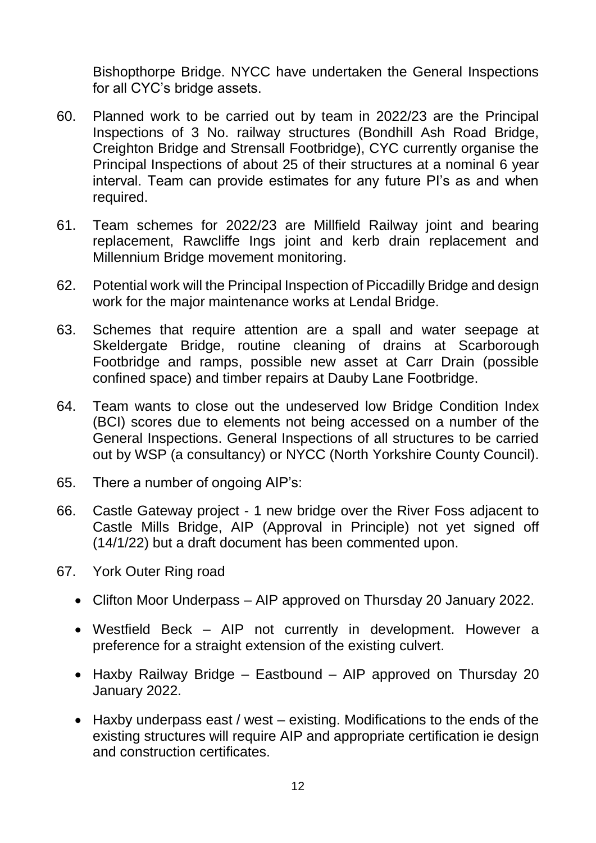Bishopthorpe Bridge. NYCC have undertaken the General Inspections for all CYC's bridge assets.

- 60. Planned work to be carried out by team in 2022/23 are the Principal Inspections of 3 No. railway structures (Bondhill Ash Road Bridge, Creighton Bridge and Strensall Footbridge), CYC currently organise the Principal Inspections of about 25 of their structures at a nominal 6 year interval. Team can provide estimates for any future PI's as and when required.
- 61. Team schemes for 2022/23 are Millfield Railway joint and bearing replacement, Rawcliffe Ings joint and kerb drain replacement and Millennium Bridge movement monitoring.
- 62. Potential work will the Principal Inspection of Piccadilly Bridge and design work for the major maintenance works at Lendal Bridge.
- 63. Schemes that require attention are a spall and water seepage at Skeldergate Bridge, routine cleaning of drains at Scarborough Footbridge and ramps, possible new asset at Carr Drain (possible confined space) and timber repairs at Dauby Lane Footbridge.
- 64. Team wants to close out the undeserved low Bridge Condition Index (BCI) scores due to elements not being accessed on a number of the General Inspections. General Inspections of all structures to be carried out by WSP (a consultancy) or NYCC (North Yorkshire County Council).
- 65. There a number of ongoing AIP's:
- 66. Castle Gateway project 1 new bridge over the River Foss adjacent to Castle Mills Bridge, AIP (Approval in Principle) not yet signed off (14/1/22) but a draft document has been commented upon.
- 67. York Outer Ring road
	- Clifton Moor Underpass AIP approved on Thursday 20 January 2022.
	- Westfield Beck AIP not currently in development. However a preference for a straight extension of the existing culvert.
	- Haxby Railway Bridge Eastbound AIP approved on Thursday 20 January 2022.
	- Haxby underpass east / west existing. Modifications to the ends of the existing structures will require AIP and appropriate certification ie design and construction certificates.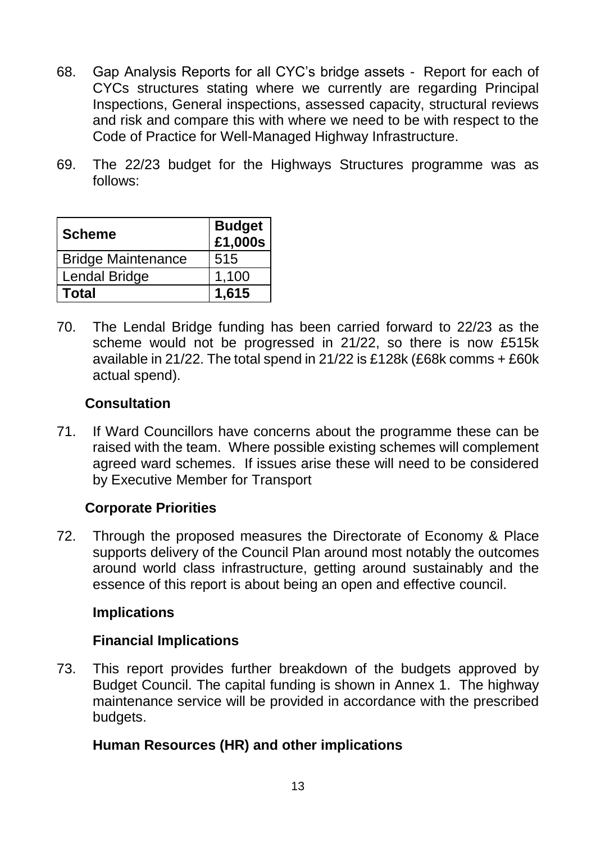- 68. Gap Analysis Reports for all CYC's bridge assets Report for each of CYCs structures stating where we currently are regarding Principal Inspections, General inspections, assessed capacity, structural reviews and risk and compare this with where we need to be with respect to the Code of Practice for Well-Managed Highway Infrastructure.
- 69. The 22/23 budget for the Highways Structures programme was as follows:

| <b>Scheme</b>             | <b>Budget</b><br>£1,000s |  |  |
|---------------------------|--------------------------|--|--|
| <b>Bridge Maintenance</b> | 515                      |  |  |
| Lendal Bridge             | 1,100                    |  |  |
| Total                     | 1,615                    |  |  |

70. The Lendal Bridge funding has been carried forward to 22/23 as the scheme would not be progressed in 21/22, so there is now £515k available in 21/22. The total spend in 21/22 is £128k (£68k comms + £60k actual spend).

### **Consultation**

71. If Ward Councillors have concerns about the programme these can be raised with the team. Where possible existing schemes will complement agreed ward schemes. If issues arise these will need to be considered by Executive Member for Transport

### **Corporate Priorities**

72. Through the proposed measures the Directorate of Economy & Place supports delivery of the Council Plan around most notably the outcomes around world class infrastructure, getting around sustainably and the essence of this report is about being an open and effective council.

#### **Implications**

### **Financial Implications**

73. This report provides further breakdown of the budgets approved by Budget Council. The capital funding is shown in Annex 1. The highway maintenance service will be provided in accordance with the prescribed budgets.

### **Human Resources (HR) and other implications**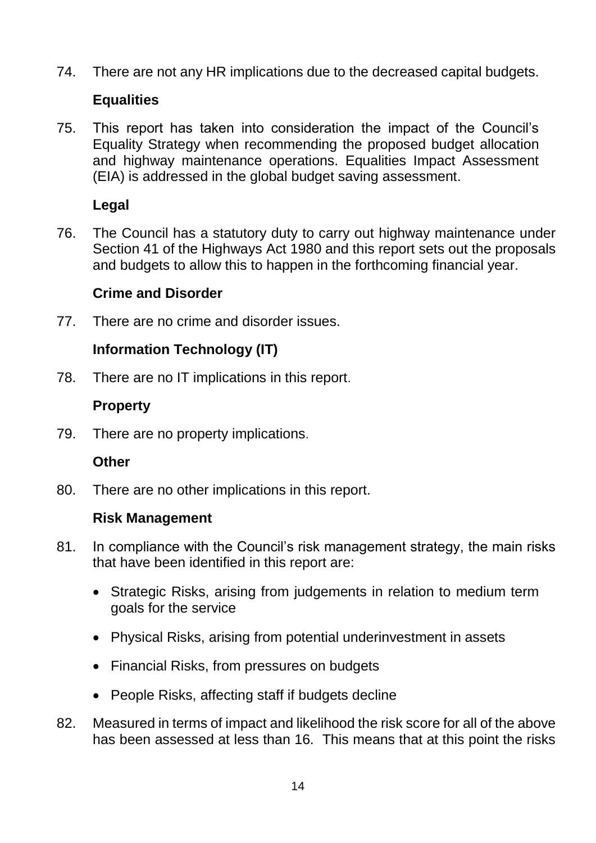74. There are not any HR implications due to the decreased capital budgets.

## **Equalities**

75. This report has taken into consideration the impact of the Council's Equality Strategy when recommending the proposed budget allocation and highway maintenance operations. Equalities Impact Assessment (EIA) is addressed in the global budget saving assessment.

## **Legal**

76. The Council has a statutory duty to carry out highway maintenance under Section 41 of the Highways Act 1980 and this report sets out the proposals and budgets to allow this to happen in the forthcoming financial year.

## **Crime and Disorder**

77. There are no crime and disorder issues.

## **Information Technology (IT)**

78. There are no IT implications in this report.

## **Property**

79. There are no property implications.

### **Other**

80. There are no other implications in this report.

### **Risk Management**

- 81. In compliance with the Council's risk management strategy, the main risks that have been identified in this report are:
	- Strategic Risks, arising from judgements in relation to medium term goals for the service
	- Physical Risks, arising from potential underinvestment in assets
	- Financial Risks, from pressures on budgets
	- People Risks, affecting staff if budgets decline
- 82. Measured in terms of impact and likelihood the risk score for all of the above has been assessed at less than 16. This means that at this point the risks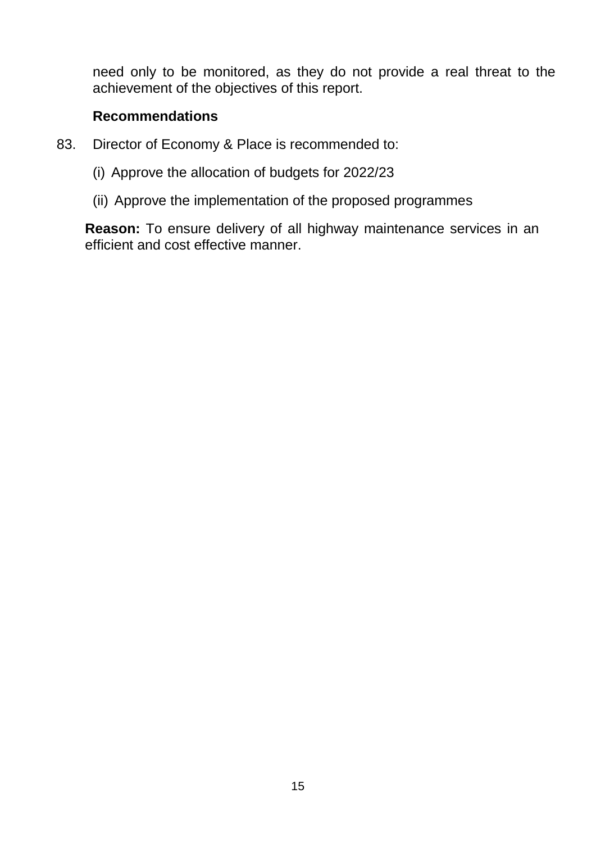need only to be monitored, as they do not provide a real threat to the achievement of the objectives of this report.

#### **Recommendations**

- 83. Director of Economy & Place is recommended to:
	- (i) Approve the allocation of budgets for 2022/23
	- (ii) Approve the implementation of the proposed programmes

**Reason:** To ensure delivery of all highway maintenance services in an efficient and cost effective manner.